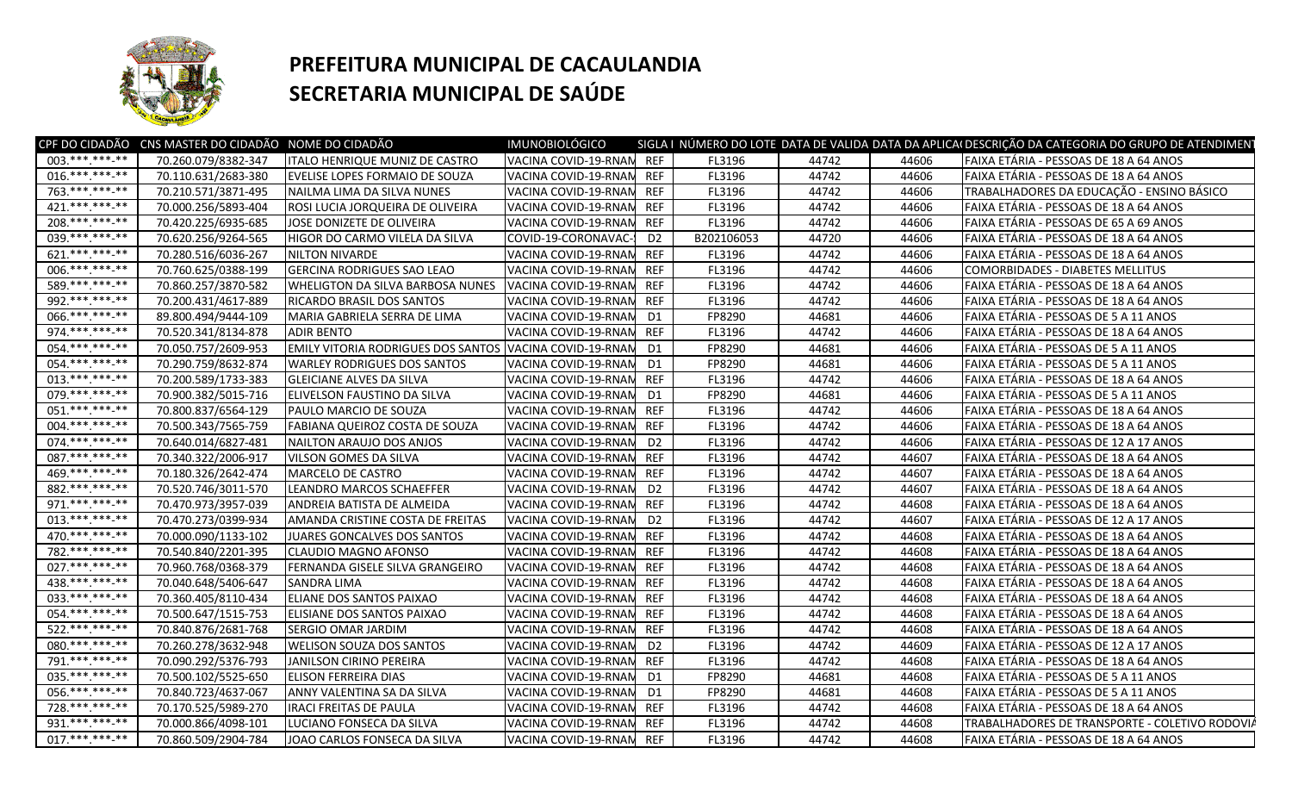

## **PREFEITURA MUNICIPAL DE CACAULANDIA SECRETARIA MUNICIPAL DE SAÚDE**

| 003.*** *** **<br>VACINA COVID-19-RNAN REF<br>70.260.079/8382-347<br>FL3196<br>44742<br>FAIXA ETÁRIA - PESSOAS DE 18 A 64 ANOS<br><b>ITALO HENRIQUE MUNIZ DE CASTRO</b><br>44606<br>016.**********<br>70.110.631/2683-380<br>VACINA COVID-19-RNAN REF<br>FL3196<br>44742<br>44606<br>FAIXA ETÁRIA - PESSOAS DE 18 A 64 ANOS<br><b>EVELISE LOPES FORMAIO DE SOUZA</b><br>763.***.***-**<br>70.210.571/3871-495<br>TRABALHADORES DA EDUCAÇÃO - ENSINO BÁSICO<br>NAILMA LIMA DA SILVA NUNES<br>VACINA COVID-19-RNAN<br>REF<br>FL3196<br>44742<br>44606<br>421.*********<br>70.000.256/5893-404<br>FAIXA ETÁRIA - PESSOAS DE 18 A 64 ANOS<br>ROSI LUCIA JORQUEIRA DE OLIVEIRA<br>VACINA COVID-19-RNAN<br><b>REF</b><br>FL3196<br>44742<br>44606<br>$208.*********$<br>70.420.225/6935-685<br>JOSE DONIZETE DE OLIVEIRA<br>VACINA COVID-19-RNAM<br><b>REF</b><br>FL3196<br>44742<br>44606<br>FAIXA ETÁRIA - PESSOAS DE 65 A 69 ANOS<br>039.*********<br>B202106053<br>70.620.256/9264-565<br>HIGOR DO CARMO VILELA DA SILVA<br>COVID-19-CORONAVAC-<br>D <sub>2</sub><br>44720<br>44606<br>FAIXA ETÁRIA - PESSOAS DE 18 A 64 ANOS<br>$621.*******.**$<br>70.280.516/6036-267<br>NILTON NIVARDE<br>VACINA COVID-19-RNAN<br><b>REF</b><br>FL3196<br>44742<br>44606<br>FAIXA ETÁRIA - PESSOAS DE 18 A 64 ANOS<br>006.**********<br><b>GERCINA RODRIGUES SAO LEAO</b><br>70.760.625/0388-199<br><b>REF</b><br>FL3196<br>44742<br>44606<br>VACINA COVID-19-RNAN<br>COMORBIDADES - DIABETES MELLITUS<br>589. *** *** -**<br>70.860.257/3870-582<br><b>WHELIGTON DA SILVA BARBOSA NUNES</b><br><b>REF</b><br>FL3196<br>44742<br>44606<br>FAIXA ETÁRIA - PESSOAS DE 18 A 64 ANOS<br>VACINA COVID-19-RNAM<br>992 *** *** **<br><b>REF</b><br>FL3196<br>44742<br>44606<br>70.200.431/4617-889<br><b>RICARDO BRASIL DOS SANTOS</b><br>VACINA COVID-19-RNAN<br>FAIXA ETÁRIA - PESSOAS DE 18 A 64 ANOS<br>066.**********<br>FP8290<br>44606<br>89.800.494/9444-109<br>MARIA GABRIELA SERRA DE LIMA<br>D <sub>1</sub><br>44681<br>FAIXA ETÁRIA - PESSOAS DE 5 A 11 ANOS<br>VACINA COVID-19-RNAM<br>974.*** *** -**<br>70.520.341/8134-878<br><b>ADIR BENTO</b><br>VACINA COVID-19-RNAM<br><b>REF</b><br>FL3196<br>44742<br>44606<br>FAIXA ETÁRIA - PESSOAS DE 18 A 64 ANOS<br>054.**********<br><b>EMILY VITORIA RODRIGUES DOS SANTOS VACINA COVID-19-RNAN</b><br>70.050.757/2609-953<br>FP8290<br>44681<br>44606<br>FAIXA ETÁRIA - PESSOAS DE 5 A 11 ANOS<br>D1<br>054.***.***-**<br>70.290.759/8632-874<br><b>WARLEY RODRIGUES DOS SANTOS</b><br>VACINA COVID-19-RNAM<br>FP8290<br>44681<br>44606<br>FAIXA ETÁRIA - PESSOAS DE 5 A 11 ANOS<br>D1<br>$013.*******.**$<br>70.200.589/1733-383<br><b>REF</b><br>FL3196<br>44742<br>44606<br>FAIXA ETÁRIA - PESSOAS DE 18 A 64 ANOS<br><b>GLEICIANE ALVES DA SILVA</b><br>VACINA COVID-19-RNAM<br>079.*** ***-**<br>70.900.382/5015-716<br>ELIVELSON FAUSTINO DA SILVA<br>VACINA COVID-19-RNAM<br>FP8290<br>44681<br>44606<br>FAIXA ETÁRIA - PESSOAS DE 5 A 11 ANOS<br>D1<br>$051.*******.**$<br>70.800.837/6564-129<br>VACINA COVID-19-RNAM<br><b>REF</b><br>FL3196<br>44742<br>44606<br>FAIXA ETÁRIA - PESSOAS DE 18 A 64 ANOS<br>PAULO MARCIO DE SOUZA<br>004.*********<br>70.500.343/7565-759<br><b>FABIANA QUEIROZ COSTA DE SOUZA</b><br>VACINA COVID-19-RNAN<br><b>REF</b><br>FL3196<br>44742<br>44606<br>FAIXA ETÁRIA - PESSOAS DE 18 A 64 ANOS<br>$074.****.**.**$<br>70.640.014/6827-481<br>D <sub>2</sub><br>FL3196<br>44742<br>44606<br>FAIXA ETÁRIA - PESSOAS DE 12 A 17 ANOS<br>NAILTON ARAUJO DOS ANJOS<br>VACINA COVID-19-RNAN<br>087 *** *** **<br><b>REF</b><br>70.340.322/2006-917<br>FL3196<br>44742<br>44607<br>FAIXA ETÁRIA - PESSOAS DE 18 A 64 ANOS<br>VILSON GOMES DA SILVA<br>VACINA COVID-19-RNAN<br>469.*** *** **<br>70.180.326/2642-474<br>MARCELO DE CASTRO<br>VACINA COVID-19-RNAN<br>REF<br>FL3196<br>44742<br>44607<br>FAIXA ETÁRIA - PESSOAS DE 18 A 64 ANOS<br>882.*********<br>FL3196<br>44607<br>70.520.746/3011-570<br><b>LEANDRO MARCOS SCHAEFFER</b><br>VACINA COVID-19-RNAM<br>D <sub>2</sub><br>44742<br>FAIXA ETÁRIA - PESSOAS DE 18 A 64 ANOS<br>971.***.***.**<br>FL3196<br>70.470.973/3957-039<br>ANDREIA BATISTA DE ALMEIDA<br>VACINA COVID-19-RNAN<br><b>REF</b><br>44742<br>44608<br>FAIXA ETÁRIA - PESSOAS DE 18 A 64 ANOS<br>$013.*******.**$<br>FL3196<br>70.470.273/0399-934<br>AMANDA CRISTINE COSTA DE FREITAS<br>VACINA COVID-19-RNAN<br>D <sub>2</sub><br>44742<br>44607<br>FAIXA ETÁRIA - PESSOAS DE 12 A 17 ANOS<br>470.***.***-**<br>70.000.090/1133-102<br>JUARES GONCALVES DOS SANTOS<br>VACINA COVID-19-RNAN REF<br>FL3196<br>44742<br>44608<br>FAIXA ETÁRIA - PESSOAS DE 18 A 64 ANOS<br>782. *** *** -**<br>70.540.840/2201-395<br>CLAUDIO MAGNO AFONSO<br>VACINA COVID-19-RNAN<br><b>REF</b><br>FL3196<br>44742<br>44608<br>FAIXA ETÁRIA - PESSOAS DE 18 A 64 ANOS<br>027. *** *** **<br>70.960.768/0368-379<br>FERNANDA GISELE SILVA GRANGEIRO<br>VACINA COVID-19-RNAM<br><b>REF</b><br>FL3196<br>44742<br>44608<br>FAIXA ETÁRIA - PESSOAS DE 18 A 64 ANOS<br>438.*** ***-**<br>FL3196<br>44742<br>44608<br>FAIXA ETÁRIA - PESSOAS DE 18 A 64 ANOS<br>70.040.648/5406-647<br><b>SANDRA LIMA</b><br>VACINA COVID-19-RNAN<br><b>REF</b><br>033. *** *** ** **<br>ELIANE DOS SANTOS PAIXAO<br>70.360.405/8110-434<br>VACINA COVID-19-RNAM<br><b>REF</b><br>FL3196<br>44742<br>44608<br>FAIXA ETÁRIA - PESSOAS DE 18 A 64 ANOS<br>054.**********<br>FL3196<br>70.500.647/1515-753<br>ELISIANE DOS SANTOS PAIXAO<br>VACINA COVID-19-RNAM<br>REF<br>44742<br>44608<br>FAIXA ETÁRIA - PESSOAS DE 18 A 64 ANOS<br>522. *** *** -**<br><b>REF</b><br>FL3196<br>44742<br>44608<br>70.840.876/2681-768<br>VACINA COVID-19-RNAN<br>FAIXA ETÁRIA - PESSOAS DE 18 A 64 ANOS<br>ISERGIO OMAR JARDIM<br>080.***.***.**<br>70.260.278/3632-948<br><b>WELISON SOUZA DOS SANTOS</b><br>VACINA COVID-19-RNAN<br>D <sub>2</sub><br>FL3196<br>44742<br>44609<br>FAIXA ETÁRIA - PESSOAS DE 12 A 17 ANOS<br>791.**********<br>70.090.292/5376-793<br><b>REF</b><br>FL3196<br>44742<br>44608<br>FAIXA ETÁRIA - PESSOAS DE 18 A 64 ANOS<br>JANILSON CIRINO PEREIRA<br>VACINA COVID-19-RNAM<br>035.*** ***-**<br>FP8290<br>44608<br>FAIXA ETÁRIA - PESSOAS DE 5 A 11 ANOS<br>70.500.102/5525-650<br><b>ELISON FERREIRA DIAS</b><br>VACINA COVID-19-RNAM<br>D1<br>44681<br>056.***.***-**<br>70.840.723/4637-067<br>FP8290<br>44681<br>44608<br>FAIXA ETÁRIA - PESSOAS DE 5 A 11 ANOS<br>ANNY VALENTINA SA DA SILVA<br>VACINA COVID-19-RNAM<br>D1<br>728.**********<br>VACINA COVID-19-RNAN REF<br>70.170.525/5989-270<br><b>IRACI FREITAS DE PAULA</b><br>FL3196<br>44742<br>44608<br>FAIXA ETÁRIA - PESSOAS DE 18 A 64 ANOS<br>931.*** *** **<br>70.000.866/4098-101<br>LUCIANO FONSECA DA SILVA<br>VACINA COVID-19-RNAM REF<br>FL3196<br>44742<br>44608<br>TRABALHADORES DE TRANSPORTE - COLETIVO RODOVIÁ<br>$017.*******.**$<br>70.860.509/2904-784<br>JOAO CARLOS FONSECA DA SILVA<br>VACINA COVID-19-RNAM REF<br>FL3196<br>44742<br>44608<br>FAIXA ETÁRIA - PESSOAS DE 18 A 64 ANOS | CPF DO CIDADÃO CNS MASTER DO CIDADÃO NOME DO CIDADÃO | <b>IMUNOBIOLÓGICO</b> |  |  | SIGLA I NÚMERO DO LOTE DATA DE VALIDA DATA DA APLICAI DESCRIÇÃO DA CATEGORIA DO GRUPO DE ATENDIMENT |
|------------------------------------------------------------------------------------------------------------------------------------------------------------------------------------------------------------------------------------------------------------------------------------------------------------------------------------------------------------------------------------------------------------------------------------------------------------------------------------------------------------------------------------------------------------------------------------------------------------------------------------------------------------------------------------------------------------------------------------------------------------------------------------------------------------------------------------------------------------------------------------------------------------------------------------------------------------------------------------------------------------------------------------------------------------------------------------------------------------------------------------------------------------------------------------------------------------------------------------------------------------------------------------------------------------------------------------------------------------------------------------------------------------------------------------------------------------------------------------------------------------------------------------------------------------------------------------------------------------------------------------------------------------------------------------------------------------------------------------------------------------------------------------------------------------------------------------------------------------------------------------------------------------------------------------------------------------------------------------------------------------------------------------------------------------------------------------------------------------------------------------------------------------------------------------------------------------------------------------------------------------------------------------------------------------------------------------------------------------------------------------------------------------------------------------------------------------------------------------------------------------------------------------------------------------------------------------------------------------------------------------------------------------------------------------------------------------------------------------------------------------------------------------------------------------------------------------------------------------------------------------------------------------------------------------------------------------------------------------------------------------------------------------------------------------------------------------------------------------------------------------------------------------------------------------------------------------------------------------------------------------------------------------------------------------------------------------------------------------------------------------------------------------------------------------------------------------------------------------------------------------------------------------------------------------------------------------------------------------------------------------------------------------------------------------------------------------------------------------------------------------------------------------------------------------------------------------------------------------------------------------------------------------------------------------------------------------------------------------------------------------------------------------------------------------------------------------------------------------------------------------------------------------------------------------------------------------------------------------------------------------------------------------------------------------------------------------------------------------------------------------------------------------------------------------------------------------------------------------------------------------------------------------------------------------------------------------------------------------------------------------------------------------------------------------------------------------------------------------------------------------------------------------------------------------------------------------------------------------------------------------------------------------------------------------------------------------------------------------------------------------------------------------------------------------------------------------------------------------------------------------------------------------------------------------------------------------------------------------------------------------------------------------------------------------------------------------------------------------------------------------------------------------------------------------------------------------------------------------------------------------------------------------------------------------------------------------------------------------------------------------------------------------------------------------------------------------------------------------------------------------------------------------------------------------------------------------------------------------------------------------------------------------------------------------------------------------------------------------------------------------------------------------------------------------------------------------------------------------------------------------------------------------------------------------------------------------------------------------------------------------------------------------------------------------------------------------------------------------------------------------------------------------------------------------------------------------------------------------------------------------------------------------------------------------------------------------------------------------------------------------------------------------------------------------------------------------------------------------------------------------------------------------------------------------------------------------------------------------------------------------------------------------------------------------------------------------------------------------------------------------------------------------------------------------|------------------------------------------------------|-----------------------|--|--|-----------------------------------------------------------------------------------------------------|
|                                                                                                                                                                                                                                                                                                                                                                                                                                                                                                                                                                                                                                                                                                                                                                                                                                                                                                                                                                                                                                                                                                                                                                                                                                                                                                                                                                                                                                                                                                                                                                                                                                                                                                                                                                                                                                                                                                                                                                                                                                                                                                                                                                                                                                                                                                                                                                                                                                                                                                                                                                                                                                                                                                                                                                                                                                                                                                                                                                                                                                                                                                                                                                                                                                                                                                                                                                                                                                                                                                                                                                                                                                                                                                                                                                                                                                                                                                                                                                                                                                                                                                                                                                                                                                                                                                                                                                                                                                                                                                                                                                                                                                                                                                                                                                                                                                                                                                                                                                                                                                                                                                                                                                                                                                                                                                                                                                                                                                                                                                                                                                                                                                                                                                                                                                                                                                                                                                                                                                                                                                                                                                                                                                                                                                                                                                                                                                                                                                                                                                                                                                                                                                                                                                                                                                                                                                                                                                                                                                                                                                                            |                                                      |                       |  |  |                                                                                                     |
|                                                                                                                                                                                                                                                                                                                                                                                                                                                                                                                                                                                                                                                                                                                                                                                                                                                                                                                                                                                                                                                                                                                                                                                                                                                                                                                                                                                                                                                                                                                                                                                                                                                                                                                                                                                                                                                                                                                                                                                                                                                                                                                                                                                                                                                                                                                                                                                                                                                                                                                                                                                                                                                                                                                                                                                                                                                                                                                                                                                                                                                                                                                                                                                                                                                                                                                                                                                                                                                                                                                                                                                                                                                                                                                                                                                                                                                                                                                                                                                                                                                                                                                                                                                                                                                                                                                                                                                                                                                                                                                                                                                                                                                                                                                                                                                                                                                                                                                                                                                                                                                                                                                                                                                                                                                                                                                                                                                                                                                                                                                                                                                                                                                                                                                                                                                                                                                                                                                                                                                                                                                                                                                                                                                                                                                                                                                                                                                                                                                                                                                                                                                                                                                                                                                                                                                                                                                                                                                                                                                                                                                            |                                                      |                       |  |  |                                                                                                     |
|                                                                                                                                                                                                                                                                                                                                                                                                                                                                                                                                                                                                                                                                                                                                                                                                                                                                                                                                                                                                                                                                                                                                                                                                                                                                                                                                                                                                                                                                                                                                                                                                                                                                                                                                                                                                                                                                                                                                                                                                                                                                                                                                                                                                                                                                                                                                                                                                                                                                                                                                                                                                                                                                                                                                                                                                                                                                                                                                                                                                                                                                                                                                                                                                                                                                                                                                                                                                                                                                                                                                                                                                                                                                                                                                                                                                                                                                                                                                                                                                                                                                                                                                                                                                                                                                                                                                                                                                                                                                                                                                                                                                                                                                                                                                                                                                                                                                                                                                                                                                                                                                                                                                                                                                                                                                                                                                                                                                                                                                                                                                                                                                                                                                                                                                                                                                                                                                                                                                                                                                                                                                                                                                                                                                                                                                                                                                                                                                                                                                                                                                                                                                                                                                                                                                                                                                                                                                                                                                                                                                                                                            |                                                      |                       |  |  |                                                                                                     |
|                                                                                                                                                                                                                                                                                                                                                                                                                                                                                                                                                                                                                                                                                                                                                                                                                                                                                                                                                                                                                                                                                                                                                                                                                                                                                                                                                                                                                                                                                                                                                                                                                                                                                                                                                                                                                                                                                                                                                                                                                                                                                                                                                                                                                                                                                                                                                                                                                                                                                                                                                                                                                                                                                                                                                                                                                                                                                                                                                                                                                                                                                                                                                                                                                                                                                                                                                                                                                                                                                                                                                                                                                                                                                                                                                                                                                                                                                                                                                                                                                                                                                                                                                                                                                                                                                                                                                                                                                                                                                                                                                                                                                                                                                                                                                                                                                                                                                                                                                                                                                                                                                                                                                                                                                                                                                                                                                                                                                                                                                                                                                                                                                                                                                                                                                                                                                                                                                                                                                                                                                                                                                                                                                                                                                                                                                                                                                                                                                                                                                                                                                                                                                                                                                                                                                                                                                                                                                                                                                                                                                                                            |                                                      |                       |  |  |                                                                                                     |
|                                                                                                                                                                                                                                                                                                                                                                                                                                                                                                                                                                                                                                                                                                                                                                                                                                                                                                                                                                                                                                                                                                                                                                                                                                                                                                                                                                                                                                                                                                                                                                                                                                                                                                                                                                                                                                                                                                                                                                                                                                                                                                                                                                                                                                                                                                                                                                                                                                                                                                                                                                                                                                                                                                                                                                                                                                                                                                                                                                                                                                                                                                                                                                                                                                                                                                                                                                                                                                                                                                                                                                                                                                                                                                                                                                                                                                                                                                                                                                                                                                                                                                                                                                                                                                                                                                                                                                                                                                                                                                                                                                                                                                                                                                                                                                                                                                                                                                                                                                                                                                                                                                                                                                                                                                                                                                                                                                                                                                                                                                                                                                                                                                                                                                                                                                                                                                                                                                                                                                                                                                                                                                                                                                                                                                                                                                                                                                                                                                                                                                                                                                                                                                                                                                                                                                                                                                                                                                                                                                                                                                                            |                                                      |                       |  |  |                                                                                                     |
|                                                                                                                                                                                                                                                                                                                                                                                                                                                                                                                                                                                                                                                                                                                                                                                                                                                                                                                                                                                                                                                                                                                                                                                                                                                                                                                                                                                                                                                                                                                                                                                                                                                                                                                                                                                                                                                                                                                                                                                                                                                                                                                                                                                                                                                                                                                                                                                                                                                                                                                                                                                                                                                                                                                                                                                                                                                                                                                                                                                                                                                                                                                                                                                                                                                                                                                                                                                                                                                                                                                                                                                                                                                                                                                                                                                                                                                                                                                                                                                                                                                                                                                                                                                                                                                                                                                                                                                                                                                                                                                                                                                                                                                                                                                                                                                                                                                                                                                                                                                                                                                                                                                                                                                                                                                                                                                                                                                                                                                                                                                                                                                                                                                                                                                                                                                                                                                                                                                                                                                                                                                                                                                                                                                                                                                                                                                                                                                                                                                                                                                                                                                                                                                                                                                                                                                                                                                                                                                                                                                                                                                            |                                                      |                       |  |  |                                                                                                     |
|                                                                                                                                                                                                                                                                                                                                                                                                                                                                                                                                                                                                                                                                                                                                                                                                                                                                                                                                                                                                                                                                                                                                                                                                                                                                                                                                                                                                                                                                                                                                                                                                                                                                                                                                                                                                                                                                                                                                                                                                                                                                                                                                                                                                                                                                                                                                                                                                                                                                                                                                                                                                                                                                                                                                                                                                                                                                                                                                                                                                                                                                                                                                                                                                                                                                                                                                                                                                                                                                                                                                                                                                                                                                                                                                                                                                                                                                                                                                                                                                                                                                                                                                                                                                                                                                                                                                                                                                                                                                                                                                                                                                                                                                                                                                                                                                                                                                                                                                                                                                                                                                                                                                                                                                                                                                                                                                                                                                                                                                                                                                                                                                                                                                                                                                                                                                                                                                                                                                                                                                                                                                                                                                                                                                                                                                                                                                                                                                                                                                                                                                                                                                                                                                                                                                                                                                                                                                                                                                                                                                                                                            |                                                      |                       |  |  |                                                                                                     |
|                                                                                                                                                                                                                                                                                                                                                                                                                                                                                                                                                                                                                                                                                                                                                                                                                                                                                                                                                                                                                                                                                                                                                                                                                                                                                                                                                                                                                                                                                                                                                                                                                                                                                                                                                                                                                                                                                                                                                                                                                                                                                                                                                                                                                                                                                                                                                                                                                                                                                                                                                                                                                                                                                                                                                                                                                                                                                                                                                                                                                                                                                                                                                                                                                                                                                                                                                                                                                                                                                                                                                                                                                                                                                                                                                                                                                                                                                                                                                                                                                                                                                                                                                                                                                                                                                                                                                                                                                                                                                                                                                                                                                                                                                                                                                                                                                                                                                                                                                                                                                                                                                                                                                                                                                                                                                                                                                                                                                                                                                                                                                                                                                                                                                                                                                                                                                                                                                                                                                                                                                                                                                                                                                                                                                                                                                                                                                                                                                                                                                                                                                                                                                                                                                                                                                                                                                                                                                                                                                                                                                                                            |                                                      |                       |  |  |                                                                                                     |
|                                                                                                                                                                                                                                                                                                                                                                                                                                                                                                                                                                                                                                                                                                                                                                                                                                                                                                                                                                                                                                                                                                                                                                                                                                                                                                                                                                                                                                                                                                                                                                                                                                                                                                                                                                                                                                                                                                                                                                                                                                                                                                                                                                                                                                                                                                                                                                                                                                                                                                                                                                                                                                                                                                                                                                                                                                                                                                                                                                                                                                                                                                                                                                                                                                                                                                                                                                                                                                                                                                                                                                                                                                                                                                                                                                                                                                                                                                                                                                                                                                                                                                                                                                                                                                                                                                                                                                                                                                                                                                                                                                                                                                                                                                                                                                                                                                                                                                                                                                                                                                                                                                                                                                                                                                                                                                                                                                                                                                                                                                                                                                                                                                                                                                                                                                                                                                                                                                                                                                                                                                                                                                                                                                                                                                                                                                                                                                                                                                                                                                                                                                                                                                                                                                                                                                                                                                                                                                                                                                                                                                                            |                                                      |                       |  |  |                                                                                                     |
|                                                                                                                                                                                                                                                                                                                                                                                                                                                                                                                                                                                                                                                                                                                                                                                                                                                                                                                                                                                                                                                                                                                                                                                                                                                                                                                                                                                                                                                                                                                                                                                                                                                                                                                                                                                                                                                                                                                                                                                                                                                                                                                                                                                                                                                                                                                                                                                                                                                                                                                                                                                                                                                                                                                                                                                                                                                                                                                                                                                                                                                                                                                                                                                                                                                                                                                                                                                                                                                                                                                                                                                                                                                                                                                                                                                                                                                                                                                                                                                                                                                                                                                                                                                                                                                                                                                                                                                                                                                                                                                                                                                                                                                                                                                                                                                                                                                                                                                                                                                                                                                                                                                                                                                                                                                                                                                                                                                                                                                                                                                                                                                                                                                                                                                                                                                                                                                                                                                                                                                                                                                                                                                                                                                                                                                                                                                                                                                                                                                                                                                                                                                                                                                                                                                                                                                                                                                                                                                                                                                                                                                            |                                                      |                       |  |  |                                                                                                     |
|                                                                                                                                                                                                                                                                                                                                                                                                                                                                                                                                                                                                                                                                                                                                                                                                                                                                                                                                                                                                                                                                                                                                                                                                                                                                                                                                                                                                                                                                                                                                                                                                                                                                                                                                                                                                                                                                                                                                                                                                                                                                                                                                                                                                                                                                                                                                                                                                                                                                                                                                                                                                                                                                                                                                                                                                                                                                                                                                                                                                                                                                                                                                                                                                                                                                                                                                                                                                                                                                                                                                                                                                                                                                                                                                                                                                                                                                                                                                                                                                                                                                                                                                                                                                                                                                                                                                                                                                                                                                                                                                                                                                                                                                                                                                                                                                                                                                                                                                                                                                                                                                                                                                                                                                                                                                                                                                                                                                                                                                                                                                                                                                                                                                                                                                                                                                                                                                                                                                                                                                                                                                                                                                                                                                                                                                                                                                                                                                                                                                                                                                                                                                                                                                                                                                                                                                                                                                                                                                                                                                                                                            |                                                      |                       |  |  |                                                                                                     |
|                                                                                                                                                                                                                                                                                                                                                                                                                                                                                                                                                                                                                                                                                                                                                                                                                                                                                                                                                                                                                                                                                                                                                                                                                                                                                                                                                                                                                                                                                                                                                                                                                                                                                                                                                                                                                                                                                                                                                                                                                                                                                                                                                                                                                                                                                                                                                                                                                                                                                                                                                                                                                                                                                                                                                                                                                                                                                                                                                                                                                                                                                                                                                                                                                                                                                                                                                                                                                                                                                                                                                                                                                                                                                                                                                                                                                                                                                                                                                                                                                                                                                                                                                                                                                                                                                                                                                                                                                                                                                                                                                                                                                                                                                                                                                                                                                                                                                                                                                                                                                                                                                                                                                                                                                                                                                                                                                                                                                                                                                                                                                                                                                                                                                                                                                                                                                                                                                                                                                                                                                                                                                                                                                                                                                                                                                                                                                                                                                                                                                                                                                                                                                                                                                                                                                                                                                                                                                                                                                                                                                                                            |                                                      |                       |  |  |                                                                                                     |
|                                                                                                                                                                                                                                                                                                                                                                                                                                                                                                                                                                                                                                                                                                                                                                                                                                                                                                                                                                                                                                                                                                                                                                                                                                                                                                                                                                                                                                                                                                                                                                                                                                                                                                                                                                                                                                                                                                                                                                                                                                                                                                                                                                                                                                                                                                                                                                                                                                                                                                                                                                                                                                                                                                                                                                                                                                                                                                                                                                                                                                                                                                                                                                                                                                                                                                                                                                                                                                                                                                                                                                                                                                                                                                                                                                                                                                                                                                                                                                                                                                                                                                                                                                                                                                                                                                                                                                                                                                                                                                                                                                                                                                                                                                                                                                                                                                                                                                                                                                                                                                                                                                                                                                                                                                                                                                                                                                                                                                                                                                                                                                                                                                                                                                                                                                                                                                                                                                                                                                                                                                                                                                                                                                                                                                                                                                                                                                                                                                                                                                                                                                                                                                                                                                                                                                                                                                                                                                                                                                                                                                                            |                                                      |                       |  |  |                                                                                                     |
|                                                                                                                                                                                                                                                                                                                                                                                                                                                                                                                                                                                                                                                                                                                                                                                                                                                                                                                                                                                                                                                                                                                                                                                                                                                                                                                                                                                                                                                                                                                                                                                                                                                                                                                                                                                                                                                                                                                                                                                                                                                                                                                                                                                                                                                                                                                                                                                                                                                                                                                                                                                                                                                                                                                                                                                                                                                                                                                                                                                                                                                                                                                                                                                                                                                                                                                                                                                                                                                                                                                                                                                                                                                                                                                                                                                                                                                                                                                                                                                                                                                                                                                                                                                                                                                                                                                                                                                                                                                                                                                                                                                                                                                                                                                                                                                                                                                                                                                                                                                                                                                                                                                                                                                                                                                                                                                                                                                                                                                                                                                                                                                                                                                                                                                                                                                                                                                                                                                                                                                                                                                                                                                                                                                                                                                                                                                                                                                                                                                                                                                                                                                                                                                                                                                                                                                                                                                                                                                                                                                                                                                            |                                                      |                       |  |  |                                                                                                     |
|                                                                                                                                                                                                                                                                                                                                                                                                                                                                                                                                                                                                                                                                                                                                                                                                                                                                                                                                                                                                                                                                                                                                                                                                                                                                                                                                                                                                                                                                                                                                                                                                                                                                                                                                                                                                                                                                                                                                                                                                                                                                                                                                                                                                                                                                                                                                                                                                                                                                                                                                                                                                                                                                                                                                                                                                                                                                                                                                                                                                                                                                                                                                                                                                                                                                                                                                                                                                                                                                                                                                                                                                                                                                                                                                                                                                                                                                                                                                                                                                                                                                                                                                                                                                                                                                                                                                                                                                                                                                                                                                                                                                                                                                                                                                                                                                                                                                                                                                                                                                                                                                                                                                                                                                                                                                                                                                                                                                                                                                                                                                                                                                                                                                                                                                                                                                                                                                                                                                                                                                                                                                                                                                                                                                                                                                                                                                                                                                                                                                                                                                                                                                                                                                                                                                                                                                                                                                                                                                                                                                                                                            |                                                      |                       |  |  |                                                                                                     |
|                                                                                                                                                                                                                                                                                                                                                                                                                                                                                                                                                                                                                                                                                                                                                                                                                                                                                                                                                                                                                                                                                                                                                                                                                                                                                                                                                                                                                                                                                                                                                                                                                                                                                                                                                                                                                                                                                                                                                                                                                                                                                                                                                                                                                                                                                                                                                                                                                                                                                                                                                                                                                                                                                                                                                                                                                                                                                                                                                                                                                                                                                                                                                                                                                                                                                                                                                                                                                                                                                                                                                                                                                                                                                                                                                                                                                                                                                                                                                                                                                                                                                                                                                                                                                                                                                                                                                                                                                                                                                                                                                                                                                                                                                                                                                                                                                                                                                                                                                                                                                                                                                                                                                                                                                                                                                                                                                                                                                                                                                                                                                                                                                                                                                                                                                                                                                                                                                                                                                                                                                                                                                                                                                                                                                                                                                                                                                                                                                                                                                                                                                                                                                                                                                                                                                                                                                                                                                                                                                                                                                                                            |                                                      |                       |  |  |                                                                                                     |
|                                                                                                                                                                                                                                                                                                                                                                                                                                                                                                                                                                                                                                                                                                                                                                                                                                                                                                                                                                                                                                                                                                                                                                                                                                                                                                                                                                                                                                                                                                                                                                                                                                                                                                                                                                                                                                                                                                                                                                                                                                                                                                                                                                                                                                                                                                                                                                                                                                                                                                                                                                                                                                                                                                                                                                                                                                                                                                                                                                                                                                                                                                                                                                                                                                                                                                                                                                                                                                                                                                                                                                                                                                                                                                                                                                                                                                                                                                                                                                                                                                                                                                                                                                                                                                                                                                                                                                                                                                                                                                                                                                                                                                                                                                                                                                                                                                                                                                                                                                                                                                                                                                                                                                                                                                                                                                                                                                                                                                                                                                                                                                                                                                                                                                                                                                                                                                                                                                                                                                                                                                                                                                                                                                                                                                                                                                                                                                                                                                                                                                                                                                                                                                                                                                                                                                                                                                                                                                                                                                                                                                                            |                                                      |                       |  |  |                                                                                                     |
|                                                                                                                                                                                                                                                                                                                                                                                                                                                                                                                                                                                                                                                                                                                                                                                                                                                                                                                                                                                                                                                                                                                                                                                                                                                                                                                                                                                                                                                                                                                                                                                                                                                                                                                                                                                                                                                                                                                                                                                                                                                                                                                                                                                                                                                                                                                                                                                                                                                                                                                                                                                                                                                                                                                                                                                                                                                                                                                                                                                                                                                                                                                                                                                                                                                                                                                                                                                                                                                                                                                                                                                                                                                                                                                                                                                                                                                                                                                                                                                                                                                                                                                                                                                                                                                                                                                                                                                                                                                                                                                                                                                                                                                                                                                                                                                                                                                                                                                                                                                                                                                                                                                                                                                                                                                                                                                                                                                                                                                                                                                                                                                                                                                                                                                                                                                                                                                                                                                                                                                                                                                                                                                                                                                                                                                                                                                                                                                                                                                                                                                                                                                                                                                                                                                                                                                                                                                                                                                                                                                                                                                            |                                                      |                       |  |  |                                                                                                     |
|                                                                                                                                                                                                                                                                                                                                                                                                                                                                                                                                                                                                                                                                                                                                                                                                                                                                                                                                                                                                                                                                                                                                                                                                                                                                                                                                                                                                                                                                                                                                                                                                                                                                                                                                                                                                                                                                                                                                                                                                                                                                                                                                                                                                                                                                                                                                                                                                                                                                                                                                                                                                                                                                                                                                                                                                                                                                                                                                                                                                                                                                                                                                                                                                                                                                                                                                                                                                                                                                                                                                                                                                                                                                                                                                                                                                                                                                                                                                                                                                                                                                                                                                                                                                                                                                                                                                                                                                                                                                                                                                                                                                                                                                                                                                                                                                                                                                                                                                                                                                                                                                                                                                                                                                                                                                                                                                                                                                                                                                                                                                                                                                                                                                                                                                                                                                                                                                                                                                                                                                                                                                                                                                                                                                                                                                                                                                                                                                                                                                                                                                                                                                                                                                                                                                                                                                                                                                                                                                                                                                                                                            |                                                      |                       |  |  |                                                                                                     |
|                                                                                                                                                                                                                                                                                                                                                                                                                                                                                                                                                                                                                                                                                                                                                                                                                                                                                                                                                                                                                                                                                                                                                                                                                                                                                                                                                                                                                                                                                                                                                                                                                                                                                                                                                                                                                                                                                                                                                                                                                                                                                                                                                                                                                                                                                                                                                                                                                                                                                                                                                                                                                                                                                                                                                                                                                                                                                                                                                                                                                                                                                                                                                                                                                                                                                                                                                                                                                                                                                                                                                                                                                                                                                                                                                                                                                                                                                                                                                                                                                                                                                                                                                                                                                                                                                                                                                                                                                                                                                                                                                                                                                                                                                                                                                                                                                                                                                                                                                                                                                                                                                                                                                                                                                                                                                                                                                                                                                                                                                                                                                                                                                                                                                                                                                                                                                                                                                                                                                                                                                                                                                                                                                                                                                                                                                                                                                                                                                                                                                                                                                                                                                                                                                                                                                                                                                                                                                                                                                                                                                                                            |                                                      |                       |  |  |                                                                                                     |
|                                                                                                                                                                                                                                                                                                                                                                                                                                                                                                                                                                                                                                                                                                                                                                                                                                                                                                                                                                                                                                                                                                                                                                                                                                                                                                                                                                                                                                                                                                                                                                                                                                                                                                                                                                                                                                                                                                                                                                                                                                                                                                                                                                                                                                                                                                                                                                                                                                                                                                                                                                                                                                                                                                                                                                                                                                                                                                                                                                                                                                                                                                                                                                                                                                                                                                                                                                                                                                                                                                                                                                                                                                                                                                                                                                                                                                                                                                                                                                                                                                                                                                                                                                                                                                                                                                                                                                                                                                                                                                                                                                                                                                                                                                                                                                                                                                                                                                                                                                                                                                                                                                                                                                                                                                                                                                                                                                                                                                                                                                                                                                                                                                                                                                                                                                                                                                                                                                                                                                                                                                                                                                                                                                                                                                                                                                                                                                                                                                                                                                                                                                                                                                                                                                                                                                                                                                                                                                                                                                                                                                                            |                                                      |                       |  |  |                                                                                                     |
|                                                                                                                                                                                                                                                                                                                                                                                                                                                                                                                                                                                                                                                                                                                                                                                                                                                                                                                                                                                                                                                                                                                                                                                                                                                                                                                                                                                                                                                                                                                                                                                                                                                                                                                                                                                                                                                                                                                                                                                                                                                                                                                                                                                                                                                                                                                                                                                                                                                                                                                                                                                                                                                                                                                                                                                                                                                                                                                                                                                                                                                                                                                                                                                                                                                                                                                                                                                                                                                                                                                                                                                                                                                                                                                                                                                                                                                                                                                                                                                                                                                                                                                                                                                                                                                                                                                                                                                                                                                                                                                                                                                                                                                                                                                                                                                                                                                                                                                                                                                                                                                                                                                                                                                                                                                                                                                                                                                                                                                                                                                                                                                                                                                                                                                                                                                                                                                                                                                                                                                                                                                                                                                                                                                                                                                                                                                                                                                                                                                                                                                                                                                                                                                                                                                                                                                                                                                                                                                                                                                                                                                            |                                                      |                       |  |  |                                                                                                     |
|                                                                                                                                                                                                                                                                                                                                                                                                                                                                                                                                                                                                                                                                                                                                                                                                                                                                                                                                                                                                                                                                                                                                                                                                                                                                                                                                                                                                                                                                                                                                                                                                                                                                                                                                                                                                                                                                                                                                                                                                                                                                                                                                                                                                                                                                                                                                                                                                                                                                                                                                                                                                                                                                                                                                                                                                                                                                                                                                                                                                                                                                                                                                                                                                                                                                                                                                                                                                                                                                                                                                                                                                                                                                                                                                                                                                                                                                                                                                                                                                                                                                                                                                                                                                                                                                                                                                                                                                                                                                                                                                                                                                                                                                                                                                                                                                                                                                                                                                                                                                                                                                                                                                                                                                                                                                                                                                                                                                                                                                                                                                                                                                                                                                                                                                                                                                                                                                                                                                                                                                                                                                                                                                                                                                                                                                                                                                                                                                                                                                                                                                                                                                                                                                                                                                                                                                                                                                                                                                                                                                                                                            |                                                      |                       |  |  |                                                                                                     |
|                                                                                                                                                                                                                                                                                                                                                                                                                                                                                                                                                                                                                                                                                                                                                                                                                                                                                                                                                                                                                                                                                                                                                                                                                                                                                                                                                                                                                                                                                                                                                                                                                                                                                                                                                                                                                                                                                                                                                                                                                                                                                                                                                                                                                                                                                                                                                                                                                                                                                                                                                                                                                                                                                                                                                                                                                                                                                                                                                                                                                                                                                                                                                                                                                                                                                                                                                                                                                                                                                                                                                                                                                                                                                                                                                                                                                                                                                                                                                                                                                                                                                                                                                                                                                                                                                                                                                                                                                                                                                                                                                                                                                                                                                                                                                                                                                                                                                                                                                                                                                                                                                                                                                                                                                                                                                                                                                                                                                                                                                                                                                                                                                                                                                                                                                                                                                                                                                                                                                                                                                                                                                                                                                                                                                                                                                                                                                                                                                                                                                                                                                                                                                                                                                                                                                                                                                                                                                                                                                                                                                                                            |                                                      |                       |  |  |                                                                                                     |
|                                                                                                                                                                                                                                                                                                                                                                                                                                                                                                                                                                                                                                                                                                                                                                                                                                                                                                                                                                                                                                                                                                                                                                                                                                                                                                                                                                                                                                                                                                                                                                                                                                                                                                                                                                                                                                                                                                                                                                                                                                                                                                                                                                                                                                                                                                                                                                                                                                                                                                                                                                                                                                                                                                                                                                                                                                                                                                                                                                                                                                                                                                                                                                                                                                                                                                                                                                                                                                                                                                                                                                                                                                                                                                                                                                                                                                                                                                                                                                                                                                                                                                                                                                                                                                                                                                                                                                                                                                                                                                                                                                                                                                                                                                                                                                                                                                                                                                                                                                                                                                                                                                                                                                                                                                                                                                                                                                                                                                                                                                                                                                                                                                                                                                                                                                                                                                                                                                                                                                                                                                                                                                                                                                                                                                                                                                                                                                                                                                                                                                                                                                                                                                                                                                                                                                                                                                                                                                                                                                                                                                                            |                                                      |                       |  |  |                                                                                                     |
|                                                                                                                                                                                                                                                                                                                                                                                                                                                                                                                                                                                                                                                                                                                                                                                                                                                                                                                                                                                                                                                                                                                                                                                                                                                                                                                                                                                                                                                                                                                                                                                                                                                                                                                                                                                                                                                                                                                                                                                                                                                                                                                                                                                                                                                                                                                                                                                                                                                                                                                                                                                                                                                                                                                                                                                                                                                                                                                                                                                                                                                                                                                                                                                                                                                                                                                                                                                                                                                                                                                                                                                                                                                                                                                                                                                                                                                                                                                                                                                                                                                                                                                                                                                                                                                                                                                                                                                                                                                                                                                                                                                                                                                                                                                                                                                                                                                                                                                                                                                                                                                                                                                                                                                                                                                                                                                                                                                                                                                                                                                                                                                                                                                                                                                                                                                                                                                                                                                                                                                                                                                                                                                                                                                                                                                                                                                                                                                                                                                                                                                                                                                                                                                                                                                                                                                                                                                                                                                                                                                                                                                            |                                                      |                       |  |  |                                                                                                     |
|                                                                                                                                                                                                                                                                                                                                                                                                                                                                                                                                                                                                                                                                                                                                                                                                                                                                                                                                                                                                                                                                                                                                                                                                                                                                                                                                                                                                                                                                                                                                                                                                                                                                                                                                                                                                                                                                                                                                                                                                                                                                                                                                                                                                                                                                                                                                                                                                                                                                                                                                                                                                                                                                                                                                                                                                                                                                                                                                                                                                                                                                                                                                                                                                                                                                                                                                                                                                                                                                                                                                                                                                                                                                                                                                                                                                                                                                                                                                                                                                                                                                                                                                                                                                                                                                                                                                                                                                                                                                                                                                                                                                                                                                                                                                                                                                                                                                                                                                                                                                                                                                                                                                                                                                                                                                                                                                                                                                                                                                                                                                                                                                                                                                                                                                                                                                                                                                                                                                                                                                                                                                                                                                                                                                                                                                                                                                                                                                                                                                                                                                                                                                                                                                                                                                                                                                                                                                                                                                                                                                                                                            |                                                      |                       |  |  |                                                                                                     |
|                                                                                                                                                                                                                                                                                                                                                                                                                                                                                                                                                                                                                                                                                                                                                                                                                                                                                                                                                                                                                                                                                                                                                                                                                                                                                                                                                                                                                                                                                                                                                                                                                                                                                                                                                                                                                                                                                                                                                                                                                                                                                                                                                                                                                                                                                                                                                                                                                                                                                                                                                                                                                                                                                                                                                                                                                                                                                                                                                                                                                                                                                                                                                                                                                                                                                                                                                                                                                                                                                                                                                                                                                                                                                                                                                                                                                                                                                                                                                                                                                                                                                                                                                                                                                                                                                                                                                                                                                                                                                                                                                                                                                                                                                                                                                                                                                                                                                                                                                                                                                                                                                                                                                                                                                                                                                                                                                                                                                                                                                                                                                                                                                                                                                                                                                                                                                                                                                                                                                                                                                                                                                                                                                                                                                                                                                                                                                                                                                                                                                                                                                                                                                                                                                                                                                                                                                                                                                                                                                                                                                                                            |                                                      |                       |  |  |                                                                                                     |
|                                                                                                                                                                                                                                                                                                                                                                                                                                                                                                                                                                                                                                                                                                                                                                                                                                                                                                                                                                                                                                                                                                                                                                                                                                                                                                                                                                                                                                                                                                                                                                                                                                                                                                                                                                                                                                                                                                                                                                                                                                                                                                                                                                                                                                                                                                                                                                                                                                                                                                                                                                                                                                                                                                                                                                                                                                                                                                                                                                                                                                                                                                                                                                                                                                                                                                                                                                                                                                                                                                                                                                                                                                                                                                                                                                                                                                                                                                                                                                                                                                                                                                                                                                                                                                                                                                                                                                                                                                                                                                                                                                                                                                                                                                                                                                                                                                                                                                                                                                                                                                                                                                                                                                                                                                                                                                                                                                                                                                                                                                                                                                                                                                                                                                                                                                                                                                                                                                                                                                                                                                                                                                                                                                                                                                                                                                                                                                                                                                                                                                                                                                                                                                                                                                                                                                                                                                                                                                                                                                                                                                                            |                                                      |                       |  |  |                                                                                                     |
|                                                                                                                                                                                                                                                                                                                                                                                                                                                                                                                                                                                                                                                                                                                                                                                                                                                                                                                                                                                                                                                                                                                                                                                                                                                                                                                                                                                                                                                                                                                                                                                                                                                                                                                                                                                                                                                                                                                                                                                                                                                                                                                                                                                                                                                                                                                                                                                                                                                                                                                                                                                                                                                                                                                                                                                                                                                                                                                                                                                                                                                                                                                                                                                                                                                                                                                                                                                                                                                                                                                                                                                                                                                                                                                                                                                                                                                                                                                                                                                                                                                                                                                                                                                                                                                                                                                                                                                                                                                                                                                                                                                                                                                                                                                                                                                                                                                                                                                                                                                                                                                                                                                                                                                                                                                                                                                                                                                                                                                                                                                                                                                                                                                                                                                                                                                                                                                                                                                                                                                                                                                                                                                                                                                                                                                                                                                                                                                                                                                                                                                                                                                                                                                                                                                                                                                                                                                                                                                                                                                                                                                            |                                                      |                       |  |  |                                                                                                     |
|                                                                                                                                                                                                                                                                                                                                                                                                                                                                                                                                                                                                                                                                                                                                                                                                                                                                                                                                                                                                                                                                                                                                                                                                                                                                                                                                                                                                                                                                                                                                                                                                                                                                                                                                                                                                                                                                                                                                                                                                                                                                                                                                                                                                                                                                                                                                                                                                                                                                                                                                                                                                                                                                                                                                                                                                                                                                                                                                                                                                                                                                                                                                                                                                                                                                                                                                                                                                                                                                                                                                                                                                                                                                                                                                                                                                                                                                                                                                                                                                                                                                                                                                                                                                                                                                                                                                                                                                                                                                                                                                                                                                                                                                                                                                                                                                                                                                                                                                                                                                                                                                                                                                                                                                                                                                                                                                                                                                                                                                                                                                                                                                                                                                                                                                                                                                                                                                                                                                                                                                                                                                                                                                                                                                                                                                                                                                                                                                                                                                                                                                                                                                                                                                                                                                                                                                                                                                                                                                                                                                                                                            |                                                      |                       |  |  |                                                                                                     |
|                                                                                                                                                                                                                                                                                                                                                                                                                                                                                                                                                                                                                                                                                                                                                                                                                                                                                                                                                                                                                                                                                                                                                                                                                                                                                                                                                                                                                                                                                                                                                                                                                                                                                                                                                                                                                                                                                                                                                                                                                                                                                                                                                                                                                                                                                                                                                                                                                                                                                                                                                                                                                                                                                                                                                                                                                                                                                                                                                                                                                                                                                                                                                                                                                                                                                                                                                                                                                                                                                                                                                                                                                                                                                                                                                                                                                                                                                                                                                                                                                                                                                                                                                                                                                                                                                                                                                                                                                                                                                                                                                                                                                                                                                                                                                                                                                                                                                                                                                                                                                                                                                                                                                                                                                                                                                                                                                                                                                                                                                                                                                                                                                                                                                                                                                                                                                                                                                                                                                                                                                                                                                                                                                                                                                                                                                                                                                                                                                                                                                                                                                                                                                                                                                                                                                                                                                                                                                                                                                                                                                                                            |                                                      |                       |  |  |                                                                                                     |
|                                                                                                                                                                                                                                                                                                                                                                                                                                                                                                                                                                                                                                                                                                                                                                                                                                                                                                                                                                                                                                                                                                                                                                                                                                                                                                                                                                                                                                                                                                                                                                                                                                                                                                                                                                                                                                                                                                                                                                                                                                                                                                                                                                                                                                                                                                                                                                                                                                                                                                                                                                                                                                                                                                                                                                                                                                                                                                                                                                                                                                                                                                                                                                                                                                                                                                                                                                                                                                                                                                                                                                                                                                                                                                                                                                                                                                                                                                                                                                                                                                                                                                                                                                                                                                                                                                                                                                                                                                                                                                                                                                                                                                                                                                                                                                                                                                                                                                                                                                                                                                                                                                                                                                                                                                                                                                                                                                                                                                                                                                                                                                                                                                                                                                                                                                                                                                                                                                                                                                                                                                                                                                                                                                                                                                                                                                                                                                                                                                                                                                                                                                                                                                                                                                                                                                                                                                                                                                                                                                                                                                                            |                                                      |                       |  |  |                                                                                                     |
|                                                                                                                                                                                                                                                                                                                                                                                                                                                                                                                                                                                                                                                                                                                                                                                                                                                                                                                                                                                                                                                                                                                                                                                                                                                                                                                                                                                                                                                                                                                                                                                                                                                                                                                                                                                                                                                                                                                                                                                                                                                                                                                                                                                                                                                                                                                                                                                                                                                                                                                                                                                                                                                                                                                                                                                                                                                                                                                                                                                                                                                                                                                                                                                                                                                                                                                                                                                                                                                                                                                                                                                                                                                                                                                                                                                                                                                                                                                                                                                                                                                                                                                                                                                                                                                                                                                                                                                                                                                                                                                                                                                                                                                                                                                                                                                                                                                                                                                                                                                                                                                                                                                                                                                                                                                                                                                                                                                                                                                                                                                                                                                                                                                                                                                                                                                                                                                                                                                                                                                                                                                                                                                                                                                                                                                                                                                                                                                                                                                                                                                                                                                                                                                                                                                                                                                                                                                                                                                                                                                                                                                            |                                                      |                       |  |  |                                                                                                     |
|                                                                                                                                                                                                                                                                                                                                                                                                                                                                                                                                                                                                                                                                                                                                                                                                                                                                                                                                                                                                                                                                                                                                                                                                                                                                                                                                                                                                                                                                                                                                                                                                                                                                                                                                                                                                                                                                                                                                                                                                                                                                                                                                                                                                                                                                                                                                                                                                                                                                                                                                                                                                                                                                                                                                                                                                                                                                                                                                                                                                                                                                                                                                                                                                                                                                                                                                                                                                                                                                                                                                                                                                                                                                                                                                                                                                                                                                                                                                                                                                                                                                                                                                                                                                                                                                                                                                                                                                                                                                                                                                                                                                                                                                                                                                                                                                                                                                                                                                                                                                                                                                                                                                                                                                                                                                                                                                                                                                                                                                                                                                                                                                                                                                                                                                                                                                                                                                                                                                                                                                                                                                                                                                                                                                                                                                                                                                                                                                                                                                                                                                                                                                                                                                                                                                                                                                                                                                                                                                                                                                                                                            |                                                      |                       |  |  |                                                                                                     |
|                                                                                                                                                                                                                                                                                                                                                                                                                                                                                                                                                                                                                                                                                                                                                                                                                                                                                                                                                                                                                                                                                                                                                                                                                                                                                                                                                                                                                                                                                                                                                                                                                                                                                                                                                                                                                                                                                                                                                                                                                                                                                                                                                                                                                                                                                                                                                                                                                                                                                                                                                                                                                                                                                                                                                                                                                                                                                                                                                                                                                                                                                                                                                                                                                                                                                                                                                                                                                                                                                                                                                                                                                                                                                                                                                                                                                                                                                                                                                                                                                                                                                                                                                                                                                                                                                                                                                                                                                                                                                                                                                                                                                                                                                                                                                                                                                                                                                                                                                                                                                                                                                                                                                                                                                                                                                                                                                                                                                                                                                                                                                                                                                                                                                                                                                                                                                                                                                                                                                                                                                                                                                                                                                                                                                                                                                                                                                                                                                                                                                                                                                                                                                                                                                                                                                                                                                                                                                                                                                                                                                                                            |                                                      |                       |  |  |                                                                                                     |
|                                                                                                                                                                                                                                                                                                                                                                                                                                                                                                                                                                                                                                                                                                                                                                                                                                                                                                                                                                                                                                                                                                                                                                                                                                                                                                                                                                                                                                                                                                                                                                                                                                                                                                                                                                                                                                                                                                                                                                                                                                                                                                                                                                                                                                                                                                                                                                                                                                                                                                                                                                                                                                                                                                                                                                                                                                                                                                                                                                                                                                                                                                                                                                                                                                                                                                                                                                                                                                                                                                                                                                                                                                                                                                                                                                                                                                                                                                                                                                                                                                                                                                                                                                                                                                                                                                                                                                                                                                                                                                                                                                                                                                                                                                                                                                                                                                                                                                                                                                                                                                                                                                                                                                                                                                                                                                                                                                                                                                                                                                                                                                                                                                                                                                                                                                                                                                                                                                                                                                                                                                                                                                                                                                                                                                                                                                                                                                                                                                                                                                                                                                                                                                                                                                                                                                                                                                                                                                                                                                                                                                                            |                                                      |                       |  |  |                                                                                                     |
|                                                                                                                                                                                                                                                                                                                                                                                                                                                                                                                                                                                                                                                                                                                                                                                                                                                                                                                                                                                                                                                                                                                                                                                                                                                                                                                                                                                                                                                                                                                                                                                                                                                                                                                                                                                                                                                                                                                                                                                                                                                                                                                                                                                                                                                                                                                                                                                                                                                                                                                                                                                                                                                                                                                                                                                                                                                                                                                                                                                                                                                                                                                                                                                                                                                                                                                                                                                                                                                                                                                                                                                                                                                                                                                                                                                                                                                                                                                                                                                                                                                                                                                                                                                                                                                                                                                                                                                                                                                                                                                                                                                                                                                                                                                                                                                                                                                                                                                                                                                                                                                                                                                                                                                                                                                                                                                                                                                                                                                                                                                                                                                                                                                                                                                                                                                                                                                                                                                                                                                                                                                                                                                                                                                                                                                                                                                                                                                                                                                                                                                                                                                                                                                                                                                                                                                                                                                                                                                                                                                                                                                            |                                                      |                       |  |  |                                                                                                     |